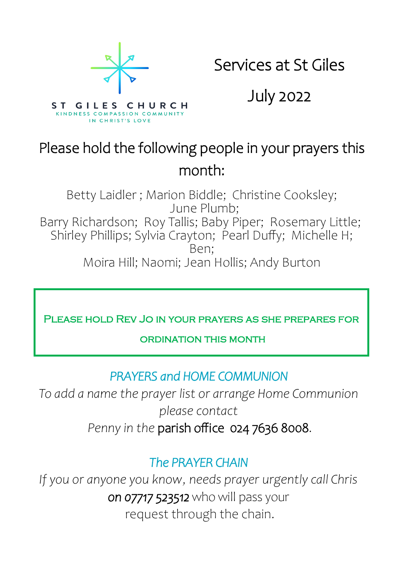

Services at St Giles

July 2022

# Please hold the following people in your prayers this month:

Betty Laidler ; Marion Biddle; Christine Cooksley; June Plumb; Barry Richardson; Roy Tallis; Baby Piper; Rosemary Little; Shirley Phillips; Sylvia Crayton; Pearl Duffy; Michelle H; Ben; Moira Hill; Naomi; Jean Hollis; Andy Burton

Please hold Rev Jo in your prayers as she prepares for

#### ordination this month

### *PRAYERS and HOME COMMUNION*

*To add a name the prayer list or arrange Home Communion please contact*

*Penny in the* parish office 024 7636 8008.

### *The PRAYER CHAIN*

*If you or anyone you know, needs prayer urgently call Chris on 07717 523512* who will pass your request through the chain.